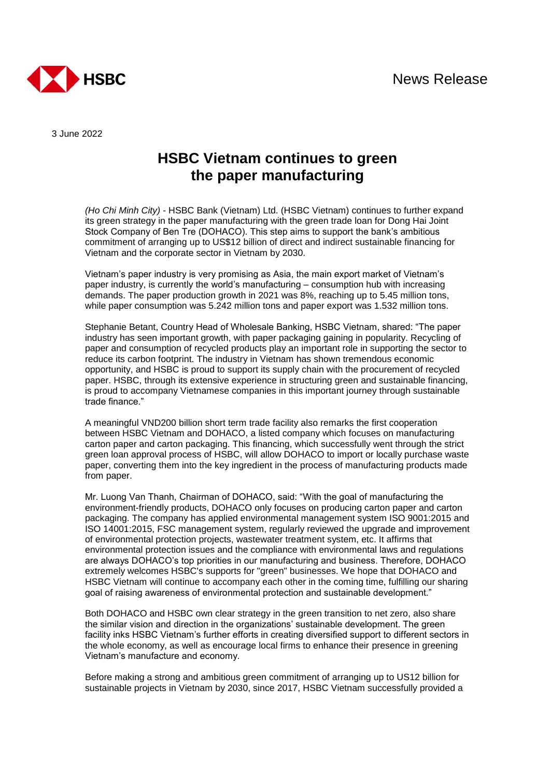

3 June 2022

## **HSBC Vietnam continues to green the paper manufacturing**

*(Ho Chi Minh City)* - HSBC Bank (Vietnam) Ltd. (HSBC Vietnam) continues to further expand its green strategy in the paper manufacturing with the green trade loan for Dong Hai Joint Stock Company of Ben Tre (DOHACO). This step aims to support the bank's ambitious commitment of arranging up to US\$12 billion of direct and indirect sustainable financing for Vietnam and the corporate sector in Vietnam by 2030.

Vietnam's paper industry is very promising as Asia, the main export market of Vietnam's paper industry, is currently the world's manufacturing – consumption hub with increasing demands. The paper production growth in 2021 was 8%, reaching up to 5.45 million tons, while paper consumption was 5.242 million tons and paper export was 1.532 million tons.

Stephanie Betant, Country Head of Wholesale Banking, HSBC Vietnam, shared: "The paper industry has seen important growth, with paper packaging gaining in popularity. Recycling of paper and consumption of recycled products play an important role in supporting the sector to reduce its carbon footprint. The industry in Vietnam has shown tremendous economic opportunity, and HSBC is proud to support its supply chain with the procurement of recycled paper. HSBC, through its extensive experience in structuring green and sustainable financing, is proud to accompany Vietnamese companies in this important journey through sustainable trade finance."

A meaningful VND200 billion short term trade facility also remarks the first cooperation between HSBC Vietnam and DOHACO, a listed company which focuses on manufacturing carton paper and carton packaging. This financing, which successfully went through the strict green loan approval process of HSBC, will allow DOHACO to import or locally purchase waste paper, converting them into the key ingredient in the process of manufacturing products made from paper.

Mr. Luong Van Thanh, Chairman of DOHACO, said: "With the goal of manufacturing the environment-friendly products, DOHACO only focuses on producing carton paper and carton packaging. The company has applied environmental management system ISO 9001:2015 and ISO 14001:2015, FSC management system, regularly reviewed the upgrade and improvement of environmental protection projects, wastewater treatment system, etc. It affirms that environmental protection issues and the compliance with environmental laws and regulations are always DOHACO's top priorities in our manufacturing and business. Therefore, DOHACO extremely welcomes HSBC's supports for "green" businesses. We hope that DOHACO and HSBC Vietnam will continue to accompany each other in the coming time, fulfilling our sharing goal of raising awareness of environmental protection and sustainable development."

Both DOHACO and HSBC own clear strategy in the green transition to net zero, also share the similar vision and direction in the organizations' sustainable development. The green facility inks HSBC Vietnam's further efforts in creating diversified support to different sectors in the whole economy, as well as encourage local firms to enhance their presence in greening Vietnam's manufacture and economy.

Before making a strong and ambitious green commitment of arranging up to US12 billion for sustainable projects in Vietnam by 2030, since 2017, HSBC Vietnam successfully provided a